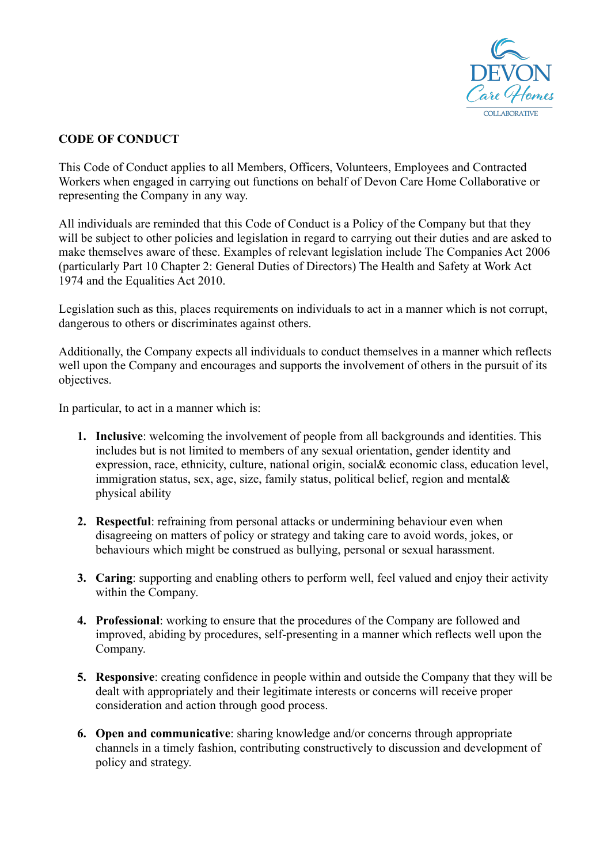

## **CODE OF CONDUCT**

This Code of Conduct applies to all Members, Officers, Volunteers, Employees and Contracted Workers when engaged in carrying out functions on behalf of Devon Care Home Collaborative or representing the Company in any way.

All individuals are reminded that this Code of Conduct is a Policy of the Company but that they will be subject to other policies and legislation in regard to carrying out their duties and are asked to make themselves aware of these. Examples of relevant legislation include The Companies Act 2006 (particularly Part 10 Chapter 2: General Duties of Directors) The Health and Safety at Work Act 1974 and the Equalities Act 2010.

Legislation such as this, places requirements on individuals to act in a manner which is not corrupt, dangerous to others or discriminates against others.

Additionally, the Company expects all individuals to conduct themselves in a manner which reflects well upon the Company and encourages and supports the involvement of others in the pursuit of its objectives.

In particular, to act in a manner which is:

- **1. Inclusive**: welcoming the involvement of people from all backgrounds and identities. This includes but is not limited to members of any sexual orientation, gender identity and expression, race, ethnicity, culture, national origin, social& economic class, education level, immigration status, sex, age, size, family status, political belief, region and mental& physical ability
- **2. Respectful**: refraining from personal attacks or undermining behaviour even when disagreeing on matters of policy or strategy and taking care to avoid words, jokes, or behaviours which might be construed as bullying, personal or sexual harassment.
- **3. Caring**: supporting and enabling others to perform well, feel valued and enjoy their activity within the Company.
- **4. Professional**: working to ensure that the procedures of the Company are followed and improved, abiding by procedures, self-presenting in a manner which reflects well upon the Company.
- **5. Responsive**: creating confidence in people within and outside the Company that they will be dealt with appropriately and their legitimate interests or concerns will receive proper consideration and action through good process.
- **6. Open and communicative**: sharing knowledge and/or concerns through appropriate channels in a timely fashion, contributing constructively to discussion and development of policy and strategy.